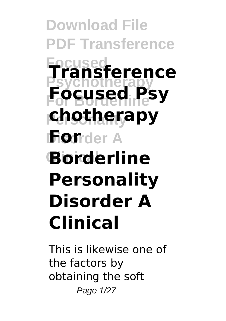**Download File PDF Transference Focused Transference Psychotherapy For Borderline Focused Psy Personality chotherapy For**der A **Clinical Borderline Personality Disorder A Clinical**

This is likewise one of the factors by obtaining the soft Page 1/27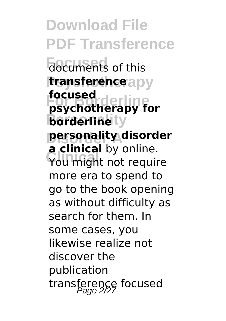**Download File PDF Transference Focuments** of this **transference** apy **For Borderline psychotherapy for borderline**ty **Disorder A personality disorder** You might not require **focused a clinical** by online. more era to spend to go to the book opening as without difficulty as search for them. In some cases, you likewise realize not discover the publication transference focused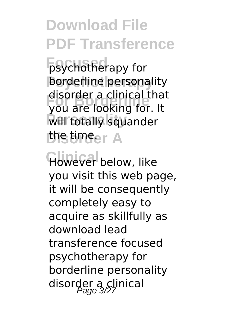**Fosychotherapy for borderline** personality **For Borderline** you are looking for. It **Will totally squander Disorder A** the time. disorder a clinical that

**However** below, like you visit this web page, it will be consequently completely easy to acquire as skillfully as download lead transference focused psychotherapy for borderline personality disorder a clinical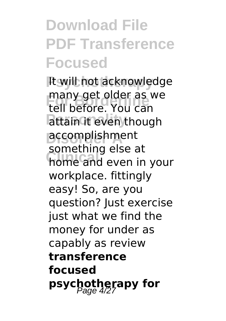## **Download File PDF Transference Focused**

**Psychotherapy** It will not acknowledge **For Borderline** tell before. You can attain it even though **Disorder A** accomplishment **Clinical** home and even in your many get older as we something else at workplace. fittingly easy! So, are you question? Just exercise just what we find the money for under as capably as review **transference focused psychotherapy for**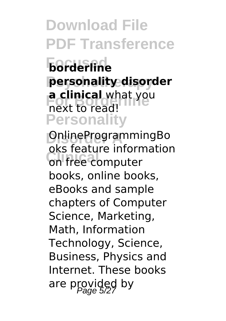**Focused borderline Psychotherapy personality disorder a clinical** what you **Personality** next to read!

**Disorder A** OnlineProgrammingBo on free computer oks feature information books, online books, eBooks and sample chapters of Computer Science, Marketing, Math, Information Technology, Science, Business, Physics and Internet. These books are provided by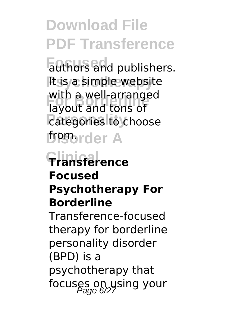**Focused** authors and publishers. **It is a simple website For Borderline** layout and tons of *<u>Categories</u>* to choose *Discorder A* with a well-arranged

### **Clinical Transference Focused Psychotherapy For Borderline**

Transference-focused therapy for borderline personality disorder (BPD) is a psychotherapy that focuses on using your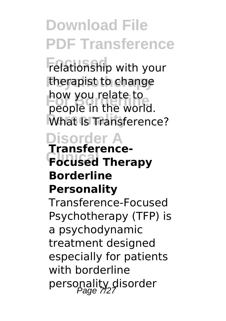**Focused** relationship with your therapist to change **For Borderline** people in the world. What Is Transference? how you relate to

## **Disorder A**

#### **Clinical Focused Therapy Transference-Borderline Personality**

Transference-Focused Psychotherapy (TFP) is a psychodynamic treatment designed especially for patients with borderline personality disorder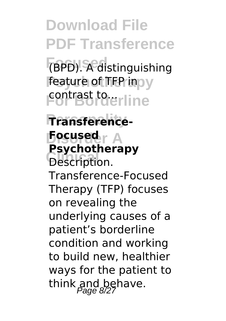**Focused** (BPD). A distinguishing **feature of TFP inpy For Borderline** 

**Personality Transference-Disorder A Focused Description. Psychotherapy** Transference-Focused Therapy (TFP) focuses on revealing the underlying causes of a patient's borderline condition and working to build new, healthier ways for the patient to think and behave.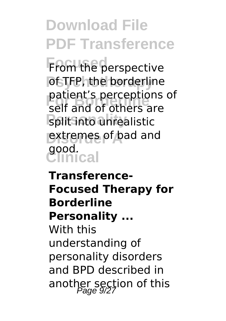**From the perspective Post TFP, the borderline For Borderline** self and of others are **Split into unrealistic Disorder A** extremes of bad and **Clinical** good. patient's perceptions of

**Transference-Focused Therapy for Borderline Personality ...** With this understanding of

personality disorders and BPD described in another section of this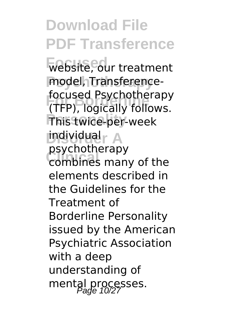**Focused** website, our treatment model, Transference-**For Borderline** (TFP), logically follows. **Personality** This twice-per-week **Disorder A** individual **Clinical** combines many of the focused Psychotherapy psychotherapy elements described in the Guidelines for the Treatment of Borderline Personality issued by the American Psychiatric Association with a deep understanding of mental processes.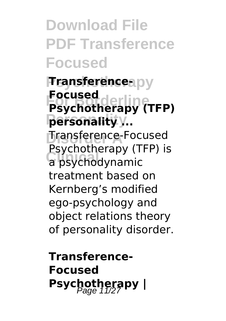**Download File PDF Transference Focused**

**Fransferenceapy For Borderline Psychotherapy (TFP) Personality personality ... Dransference-Focused La psychodynamic Focused** Psychotherapy (TFP) is treatment based on Kernberg's modified ego-psychology and object relations theory of personality disorder.

**Transference-Focused Psychotherapy** |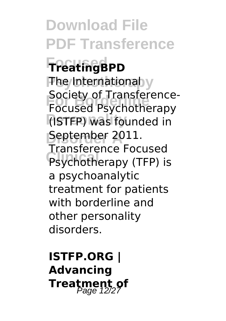**Download File PDF Transference Focused TreatingBPD The International y Focused Psychotherapy Personality** (ISTFP) was founded in **Disorder A** September 2011. **Psychotherapy (TFP) is** Society of Transference-Transference Focused a psychoanalytic treatment for patients with borderline and other personality disorders.

**ISTFP.ORG | Advancing Treatment of**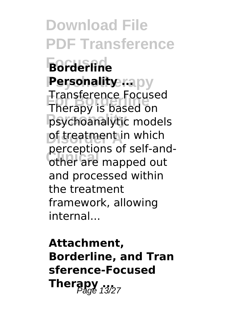**Download File PDF Transference Focused Borderline Personality ...**... **For Borderline** Therapy is based on psychoanalytic models **Distreatment in which CLICENTIFY OF SCIT CITY** Transference Focused perceptions of self-andand processed within the treatment framework, allowing internal...

**Attachment, Borderline, and Tran sference-Focused Therapy** 13/27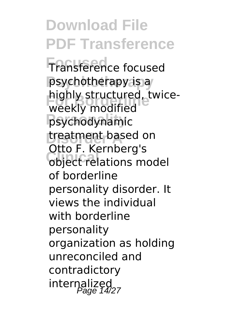**Download File PDF Transference Focused** Transference focused **Psychotherapy** psychotherapy is a **For Borderling**<br>
weekly modified **Personality** psychodynamic **treatment based on Clinical** object relations model highly structured, twice-Otto F. Kernberg's of borderline personality disorder. It views the individual with borderline personality organization as holding unreconciled and contradictory internalized<br>Page 14/27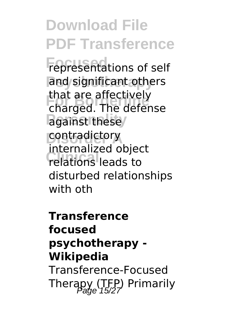**Download File PDF Transference Fepresentations of self** and significant others **For Borderline** charged. The defense against these/ **Contradictory Clinical** relations leads to that are affectively internalized object disturbed relationships with oth

**Transference focused psychotherapy - Wikipedia** Transference-Focused Therapy (TFP) Primarily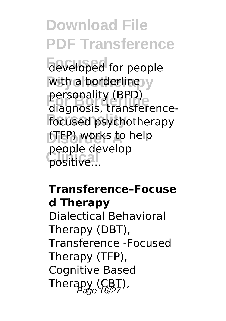**Download File PDF Transference** developed for people with a borderline y personality (BPD)<br>diagnosis, transference**focused** psychotherapy **Disorder A** (TFP) works to help positive... personality (BPD) people develop

#### **Transference–Focuse d Therapy** Dialectical Behavioral Therapy (DBT), Transference -Focused Therapy (TFP), Cognitive Based Therapy  $(CBT)$ ,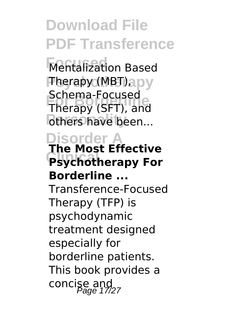**Focused** Mentalization Based **Therapy (MBT)** apy **Forma**<br>Therapy (SFT), and others have been... Schema-Focused

#### **Disorder A Psychotherapy For The Most Effective Borderline ...**

Transference-Focused Therapy (TFP) is psychodynamic treatment designed especially for borderline patients. This book provides a concise and  $P_{age}$  17/27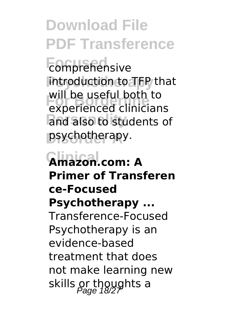**Focused** comprehensive **Psychotherapy** introduction to TFP that **For Borderlinge Listers**<br> **Experienced clinicians** and also to students of **Disorder A** psychotherapy. will be useful both to

### **Clinical Amazon.com: A Primer of Transferen ce-Focused Psychotherapy ...** Transference-Focused Psychotherapy is an evidence-based treatment that does not make learning new skills or thoughts a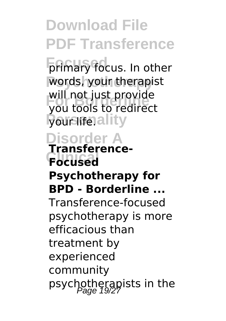**Primary focus. In other** words, your therapist will not just provide<br>Vou tools to redirect **Pour liferality** you tools to redirect

#### **Disorder A Transference-**

### **Clinical Focused Psychotherapy for**

### **BPD - Borderline ...**

Transference-focused psychotherapy is more efficacious than treatment by experienced community psychotherapists in the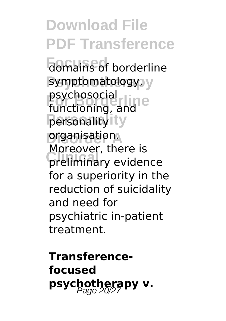**Download File PDF Transference Fomains of borderline** symptomatology, y psychosocial<br>functioning **Personality** personality **Diganisation.** preliminary evidence functioning, and Moreover, there is for a superiority in the reduction of suicidality and need for psychiatric in-patient treatment.

**Transferencefocused** psychotherapy v.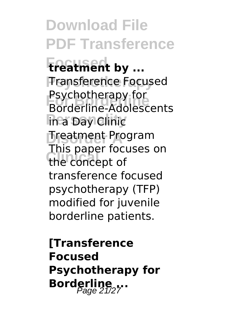**Download File PDF Transference Focused treatment by ... Transference Focused For Borderline** Borderline-Adolescents **In a Day Clinic Disorder A** Treatment Program the concept of Psychotherapy for This paper focuses on transference focused psychotherapy (TFP) modified for juvenile borderline patients.

**[Transference Focused Psychotherapy for Borderline** ...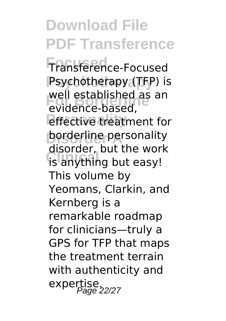**Focused** Transference-Focused **Psychotherapy** Psychotherapy (TFP) is well established as<br>evidence-based, *<u>effective</u>* treatment for **borderline** personality **Clinical** is anything but easy! well established as an disorder, but the work This volume by Yeomans, Clarkin, and Kernberg is a remarkable roadmap for clinicians—truly a GPS for TFP that maps the treatment terrain with authenticity and expertise.<br>Page 22/27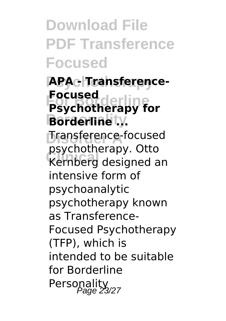**Download File PDF Transference Focused**

**Psychotherapy APA - Transference-For Borderline Psychotherapy for Borderline ty. Dransference-focused Clinical** Kernberg designed an **Focused** psychotherapy. Otto intensive form of psychoanalytic psychotherapy known as Transference-Focused Psychotherapy (TFP), which is intended to be suitable for Borderline Personality<br>Page 23/27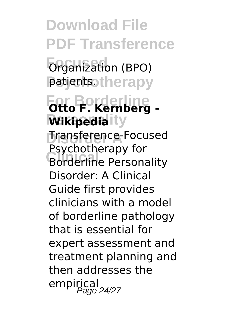**Download File PDF Transference Forganization** (BPO) patients.therapy **For Borderline Otto F. Kernberg - Wikipedia** ity **Disorder A** Transference-Focused **Borderline Personality** Psychotherapy for Disorder: A Clinical Guide first provides clinicians with a model of borderline pathology that is essential for expert assessment and treatment planning and then addresses the empirical<br>Page 24/27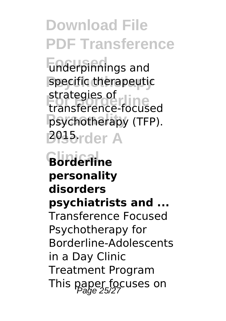**Focused** underpinnings and specific therapeutic strategies of<br>transference-focused **psychotherapy** (TFP). **2015**rder A strategies of

**Clinical Borderline personality disorders psychiatrists and ...** Transference Focused Psychotherapy for Borderline-Adolescents in a Day Clinic Treatment Program This paper focuses on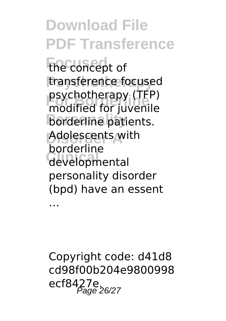**Focused** the concept of transference focused **For Borderline** modified for juvenile **borderline** patients. **Disorder A** Adolescents with developmental psychotherapy (TFP) borderline personality disorder (bpd) have an essent

…

Copyright code: d41d8 cd98f00b204e9800998 ecf8427e. Page 26/27